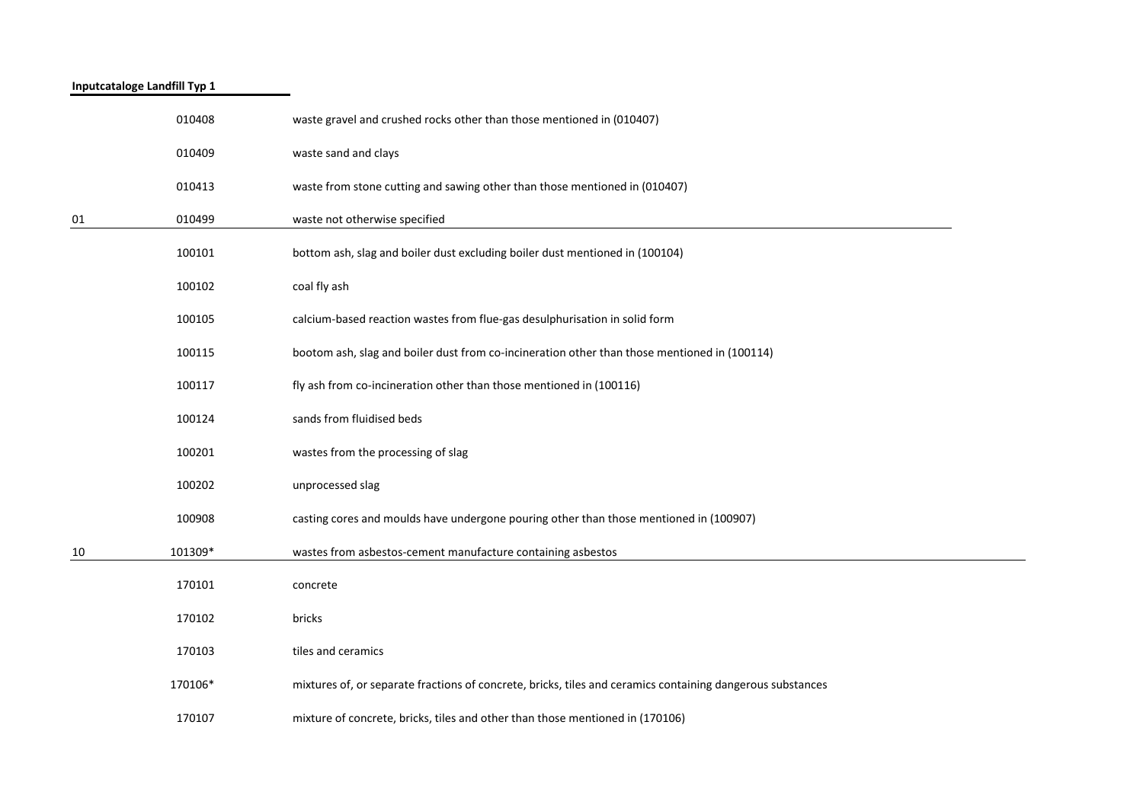| Inputcataloge Landfill Typ 1 |         |                                                                                                            |
|------------------------------|---------|------------------------------------------------------------------------------------------------------------|
|                              | 010408  | waste gravel and crushed rocks other than those mentioned in (010407)                                      |
|                              | 010409  | waste sand and clays                                                                                       |
|                              | 010413  | waste from stone cutting and sawing other than those mentioned in (010407)                                 |
| 01                           | 010499  | waste not otherwise specified                                                                              |
|                              | 100101  | bottom ash, slag and boiler dust excluding boiler dust mentioned in (100104)                               |
|                              | 100102  | coal fly ash                                                                                               |
|                              | 100105  | calcium-based reaction wastes from flue-gas desulphurisation in solid form                                 |
|                              | 100115  | bootom ash, slag and boiler dust from co-incineration other than those mentioned in (100114)               |
|                              | 100117  | fly ash from co-incineration other than those mentioned in (100116)                                        |
|                              | 100124  | sands from fluidised beds                                                                                  |
|                              | 100201  | wastes from the processing of slag                                                                         |
|                              | 100202  | unprocessed slag                                                                                           |
|                              | 100908  | casting cores and moulds have undergone pouring other than those mentioned in (100907)                     |
| 10                           | 101309* | wastes from asbestos-cement manufacture containing asbestos                                                |
|                              | 170101  | concrete                                                                                                   |
|                              | 170102  | bricks                                                                                                     |
|                              | 170103  | tiles and ceramics                                                                                         |
|                              | 170106* | mixtures of, or separate fractions of concrete, bricks, tiles and ceramics containing dangerous substances |
|                              | 170107  | mixture of concrete, bricks, tiles and other than those mentioned in (170106)                              |